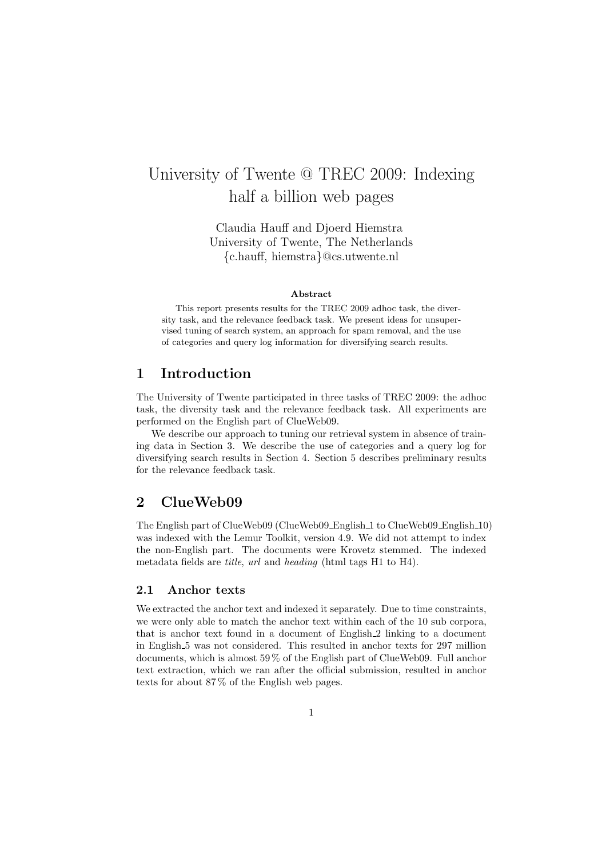# University of Twente @ TREC 2009: Indexing half a billion web pages

Claudia Hauff and Djoerd Hiemstra University of Twente, The Netherlands {c.hauff, hiemstra}@cs.utwente.nl

#### Abstract

This report presents results for the TREC 2009 adhoc task, the diversity task, and the relevance feedback task. We present ideas for unsupervised tuning of search system, an approach for spam removal, and the use of categories and query log information for diversifying search results.

# 1 Introduction

The University of Twente participated in three tasks of TREC 2009: the adhoc task, the diversity task and the relevance feedback task. All experiments are performed on the English part of ClueWeb09.

We describe our approach to tuning our retrieval system in absence of training data in Section 3. We describe the use of categories and a query log for diversifying search results in Section 4. Section 5 describes preliminary results for the relevance feedback task.

# 2 ClueWeb09

The English part of ClueWeb09 (ClueWeb09 English 1 to ClueWeb09 English 10) was indexed with the Lemur Toolkit, version 4.9. We did not attempt to index the non-English part. The documents were Krovetz stemmed. The indexed metadata fields are *title*, *url* and *heading* (html tags H1 to H4).

## 2.1 Anchor texts

We extracted the anchor text and indexed it separately. Due to time constraints, we were only able to match the anchor text within each of the 10 sub corpora, that is anchor text found in a document of English 2 linking to a document in English 5 was not considered. This resulted in anchor texts for 297 million documents, which is almost 59 % of the English part of ClueWeb09. Full anchor text extraction, which we ran after the official submission, resulted in anchor texts for about 87 % of the English web pages.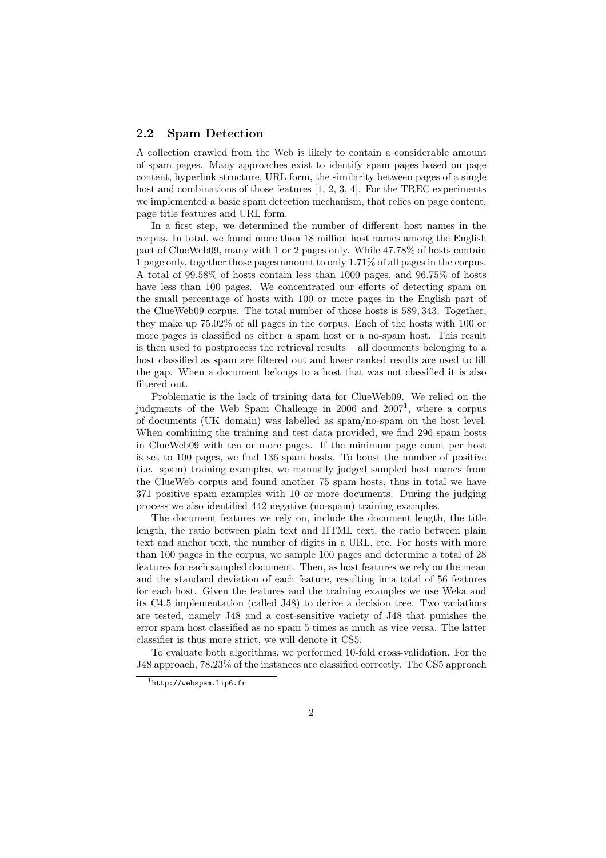## 2.2 Spam Detection

A collection crawled from the Web is likely to contain a considerable amount of spam pages. Many approaches exist to identify spam pages based on page content, hyperlink structure, URL form, the similarity between pages of a single host and combinations of those features  $[1, 2, 3, 4]$ . For the TREC experiments we implemented a basic spam detection mechanism, that relies on page content, page title features and URL form.

In a first step, we determined the number of different host names in the corpus. In total, we found more than 18 million host names among the English part of ClueWeb09, many with 1 or 2 pages only. While 47.78% of hosts contain 1 page only, together those pages amount to only 1.71% of all pages in the corpus. A total of 99.58% of hosts contain less than 1000 pages, and 96.75% of hosts have less than 100 pages. We concentrated our efforts of detecting spam on the small percentage of hosts with 100 or more pages in the English part of the ClueWeb09 corpus. The total number of those hosts is 589, 343. Together, they make up 75.02% of all pages in the corpus. Each of the hosts with 100 or more pages is classified as either a spam host or a no-spam host. This result is then used to postprocess the retrieval results – all documents belonging to a host classified as spam are filtered out and lower ranked results are used to fill the gap. When a document belongs to a host that was not classified it is also filtered out.

Problematic is the lack of training data for ClueWeb09. We relied on the judgments of the Web Spam Challenge in 2006 and 2007<sup>1</sup>, where a corpus of documents (UK domain) was labelled as spam/no-spam on the host level. When combining the training and test data provided, we find 296 spam hosts in ClueWeb09 with ten or more pages. If the minimum page count per host is set to 100 pages, we find 136 spam hosts. To boost the number of positive (i.e. spam) training examples, we manually judged sampled host names from the ClueWeb corpus and found another 75 spam hosts, thus in total we have 371 positive spam examples with 10 or more documents. During the judging process we also identified 442 negative (no-spam) training examples.

The document features we rely on, include the document length, the title length, the ratio between plain text and HTML text, the ratio between plain text and anchor text, the number of digits in a URL, etc. For hosts with more than 100 pages in the corpus, we sample 100 pages and determine a total of 28 features for each sampled document. Then, as host features we rely on the mean and the standard deviation of each feature, resulting in a total of 56 features for each host. Given the features and the training examples we use Weka and its C4.5 implementation (called J48) to derive a decision tree. Two variations are tested, namely J48 and a cost-sensitive variety of J48 that punishes the error spam host classified as no spam 5 times as much as vice versa. The latter classifier is thus more strict, we will denote it CS5.

To evaluate both algorithms, we performed 10-fold cross-validation. For the J48 approach, 78.23% of the instances are classified correctly. The CS5 approach

 $1$ http://webspam.lip6.fr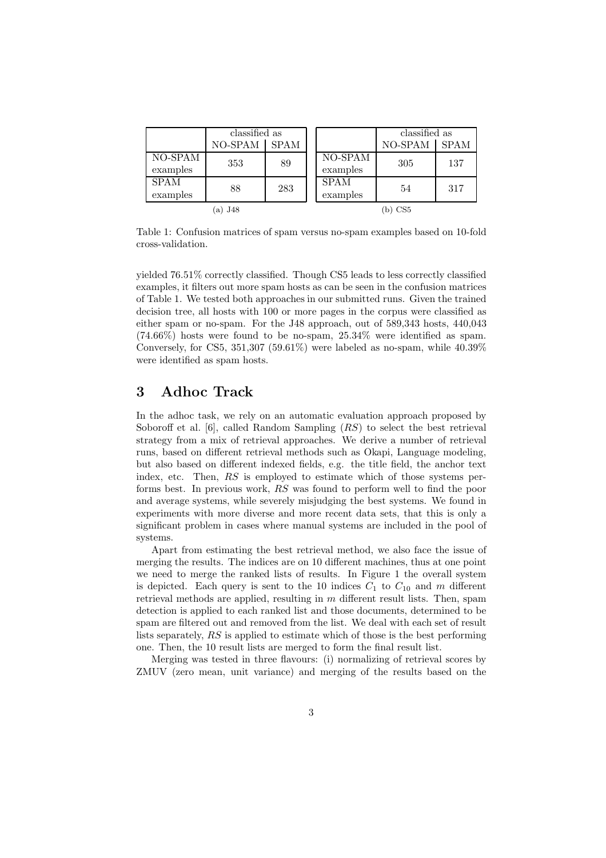|                         | classified as |             |                         | classified as |             |  |
|-------------------------|---------------|-------------|-------------------------|---------------|-------------|--|
|                         | NO-SPAM       | <b>SPAM</b> |                         | NO-SPAM       | <b>SPAM</b> |  |
| $NO-SPAM$<br>examples   | 353           | 89          | NO-SPAM<br>examples     | 305           | 137         |  |
| <b>SPAM</b><br>examples | 88            | 283         | <b>SPAM</b><br>examples | 54            | 317         |  |
| (a) $J48$               |               |             | b) CS5                  |               |             |  |

Table 1: Confusion matrices of spam versus no-spam examples based on 10-fold cross-validation.

yielded 76.51% correctly classified. Though CS5 leads to less correctly classified examples, it filters out more spam hosts as can be seen in the confusion matrices of Table 1. We tested both approaches in our submitted runs. Given the trained decision tree, all hosts with 100 or more pages in the corpus were classified as either spam or no-spam. For the J48 approach, out of 589,343 hosts, 440,043 (74.66%) hosts were found to be no-spam, 25.34% were identified as spam. Conversely, for CS5, 351,307 (59.61%) were labeled as no-spam, while  $40.39\%$ were identified as spam hosts.

# 3 Adhoc Track

In the adhoc task, we rely on an automatic evaluation approach proposed by Soboroff et al. [6], called Random Sampling (RS) to select the best retrieval strategy from a mix of retrieval approaches. We derive a number of retrieval runs, based on different retrieval methods such as Okapi, Language modeling, but also based on different indexed fields, e.g. the title field, the anchor text index, etc. Then, RS is employed to estimate which of those systems performs best. In previous work, RS was found to perform well to find the poor and average systems, while severely misjudging the best systems. We found in experiments with more diverse and more recent data sets, that this is only a significant problem in cases where manual systems are included in the pool of systems.

Apart from estimating the best retrieval method, we also face the issue of merging the results. The indices are on 10 different machines, thus at one point we need to merge the ranked lists of results. In Figure 1 the overall system is depicted. Each query is sent to the 10 indices  $C_1$  to  $C_{10}$  and m different retrieval methods are applied, resulting in  $m$  different result lists. Then, spam detection is applied to each ranked list and those documents, determined to be spam are filtered out and removed from the list. We deal with each set of result lists separately, RS is applied to estimate which of those is the best performing one. Then, the 10 result lists are merged to form the final result list.

Merging was tested in three flavours: (i) normalizing of retrieval scores by ZMUV (zero mean, unit variance) and merging of the results based on the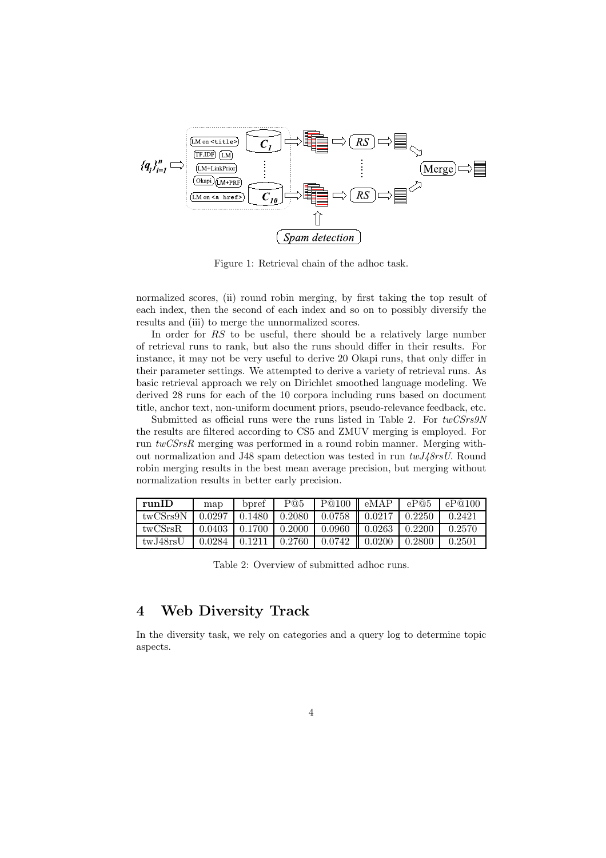

Figure 1: Retrieval chain of the adhoc task.

normalized scores, (ii) round robin merging, by first taking the top result of each index, then the second of each index and so on to possibly diversify the results and (iii) to merge the unnormalized scores.

In order for RS to be useful, there should be a relatively large number of retrieval runs to rank, but also the runs should differ in their results. For instance, it may not be very useful to derive 20 Okapi runs, that only differ in their parameter settings. We attempted to derive a variety of retrieval runs. As basic retrieval approach we rely on Dirichlet smoothed language modeling. We derived 28 runs for each of the 10 corpora including runs based on document title, anchor text, non-uniform document priors, pseudo-relevance feedback, etc.

Submitted as official runs were the runs listed in Table 2. For *twCSrs9N* the results are filtered according to CS5 and ZMUV merging is employed. For run *twCSrsR* merging was performed in a round robin manner. Merging without normalization and J48 spam detection was tested in run *twJ48rsU*. Round robin merging results in the best mean average precision, but merging without normalization results in better early precision.

| runID    | map    | bpref  | $\rm{P@5}$ | P@100  | eMAP   | eP@5   | eP@100 |
|----------|--------|--------|------------|--------|--------|--------|--------|
| twCSrs9N | 0.0297 | 0.1480 | 0.2080     | 0.0758 | 0.0217 | 0.2250 | 0.2421 |
| twCSrsR  | 0.0403 | 0.1700 | 0.2000     | 0.0960 | 0.0263 | 0.2200 | 0.2570 |
| twJ48rsU | 0.0284 | 0.1211 | 0.2760     | 0.0742 | 0.0200 | 0.2800 | 0.2501 |

Table 2: Overview of submitted adhoc runs.

# 4 Web Diversity Track

In the diversity task, we rely on categories and a query log to determine topic aspects.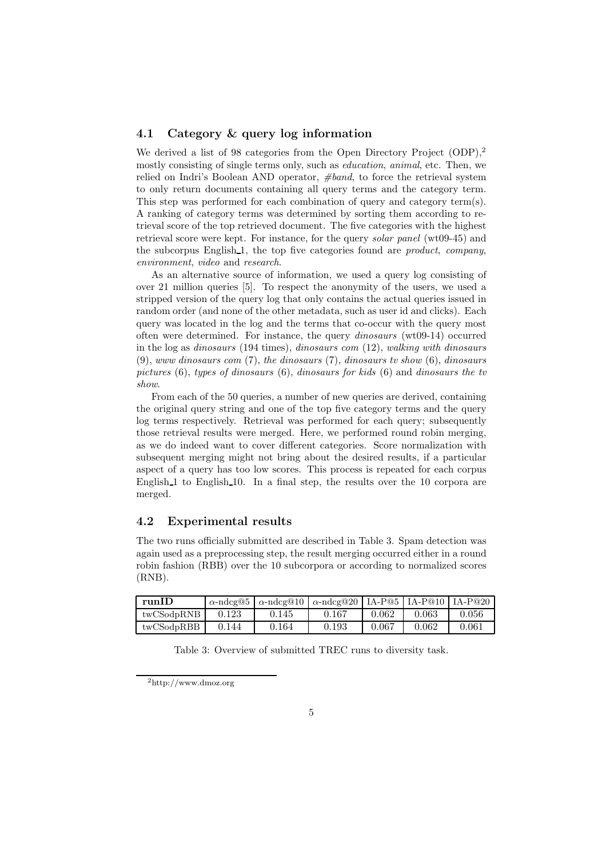## 4.1 Category & query log information

We derived a list of 98 categories from the Open Directory Project (ODP),<sup>2</sup> mostly consisting of single terms only, such as *education*, *animal*, etc. Then, we relied on Indri's Boolean AND operator, *#band*, to force the retrieval system to only return documents containing all query terms and the category term. This step was performed for each combination of query and category term(s). A ranking of category terms was determined by sorting them according to retrieval score of the top retrieved document. The five categories with the highest retrieval score were kept. For instance, for the query *solar panel* (wt09-45) and the subcorpus English 1, the top five categories found are *product*, *company*, *environment*, *video* and *research*.

As an alternative source of information, we used a query log consisting of over 21 million queries [5]. To respect the anonymity of the users, we used a stripped version of the query log that only contains the actual queries issued in random order (and none of the other metadata, such as user id and clicks). Each query was located in the log and the terms that co-occur with the query most often were determined. For instance, the query *dinosaurs* (wt09-14) occurred in the log as *dinosaurs* (194 times), *dinosaurs com* (12), *walking with dinosaurs* (9), *www dinosaurs com* (7), *the dinosaurs* (7), *dinosaurs tv show* (6), *dinosaurs pictures* (6), *types of dinosaurs* (6), *dinosaurs for kids* (6) and *dinosaurs the tv show*.

From each of the 50 queries, a number of new queries are derived, containing the original query string and one of the top five category terms and the query log terms respectively. Retrieval was performed for each query; subsequently those retrieval results were merged. Here, we performed round robin merging, as we do indeed want to cover different categories. Score normalization with subsequent merging might not bring about the desired results, if a particular aspect of a query has too low scores. This process is repeated for each corpus English 1 to English 10. In a final step, the results over the 10 corpora are merged.

## 4.2 Experimental results

The two runs officially submitted are described in Table 3. Spam detection was again used as a preprocessing step, the result merging occurred either in a round robin fashion (RBB) over the 10 subcorpora or according to normalized scores (RNB).

| runID      |       | $\alpha$ -ndcg@5   $\alpha$ -ndcg@10   $\alpha$ -ndcg@20   IA-P@5   IA-P@10   IA-P@20 |       |       |       |       |
|------------|-------|---------------------------------------------------------------------------------------|-------|-------|-------|-------|
| twCSodpRNB | 0.123 | 0.145                                                                                 | 0.167 | 0.062 | 0.063 | 0.056 |
| twCSodpRBB | 0.144 | 0.164                                                                                 | 0.193 | 0.067 | 0.062 | 0.061 |

Table 3: Overview of submitted TREC runs to diversity task.

<sup>2</sup>http://www.dmoz.org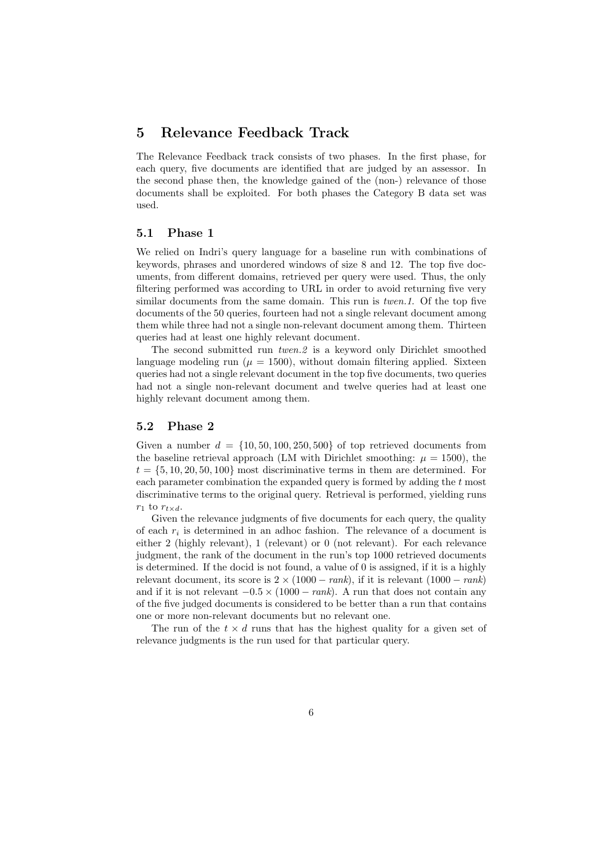# 5 Relevance Feedback Track

The Relevance Feedback track consists of two phases. In the first phase, for each query, five documents are identified that are judged by an assessor. In the second phase then, the knowledge gained of the (non-) relevance of those documents shall be exploited. For both phases the Category B data set was used.

## 5.1 Phase 1

We relied on Indri's query language for a baseline run with combinations of keywords, phrases and unordered windows of size 8 and 12. The top five documents, from different domains, retrieved per query were used. Thus, the only filtering performed was according to URL in order to avoid returning five very similar documents from the same domain. This run is *twen.1*. Of the top five documents of the 50 queries, fourteen had not a single relevant document among them while three had not a single non-relevant document among them. Thirteen queries had at least one highly relevant document.

The second submitted run *twen.2* is a keyword only Dirichlet smoothed language modeling run ( $\mu = 1500$ ), without domain filtering applied. Sixteen queries had not a single relevant document in the top five documents, two queries had not a single non-relevant document and twelve queries had at least one highly relevant document among them.

## 5.2 Phase 2

Given a number  $d = \{10, 50, 100, 250, 500\}$  of top retrieved documents from the baseline retrieval approach (LM with Dirichlet smoothing:  $\mu = 1500$ ), the  $t = \{5, 10, 20, 50, 100\}$  most discriminative terms in them are determined. For each parameter combination the expanded query is formed by adding the t most discriminative terms to the original query. Retrieval is performed, yielding runs  $r_1$  to  $r_{t \times d}$ .

Given the relevance judgments of five documents for each query, the quality of each  $r_i$  is determined in an adhoc fashion. The relevance of a document is either 2 (highly relevant), 1 (relevant) or 0 (not relevant). For each relevance judgment, the rank of the document in the run's top 1000 retrieved documents is determined. If the docid is not found, a value of 0 is assigned, if it is a highly relevant document, its score is  $2 \times (1000 - rank)$ , if it is relevant  $(1000 - rank)$ and if it is not relevant  $-0.5 \times (1000 - rank)$ . A run that does not contain any of the five judged documents is considered to be better than a run that contains one or more non-relevant documents but no relevant one.

The run of the  $t \times d$  runs that has the highest quality for a given set of relevance judgments is the run used for that particular query.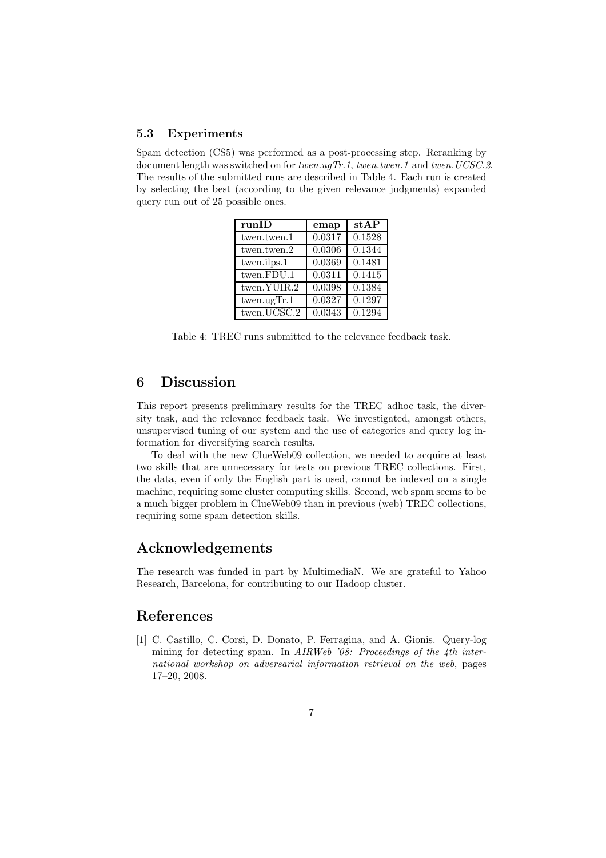## 5.3 Experiments

Spam detection (CS5) was performed as a post-processing step. Reranking by document length was switched on for *twen.ugTr.1*, *twen.twen.1* and *twen.UCSC.2*. The results of the submitted runs are described in Table 4. Each run is created by selecting the best (according to the given relevance judgments) expanded query run out of 25 possible ones.

| runID                                   | emap   | stAP                |
|-----------------------------------------|--------|---------------------|
| twen.twen.1                             | 0.0317 | 0.1528              |
| twen.twen.2                             | 0.0306 | $\overline{0.1344}$ |
| $\overline{\text{twen.} \text{ilps}.1}$ | 0.0369 | 0.1481              |
| twen.FDU.1                              | 0.0311 | 0.1415              |
| $t$ wen.YUIR.2                          | 0.0398 | 0.1384              |
| twen. ugTr.1                            | 0.0327 | 0.1297              |
| twen.UCSC.2                             | 0.0343 | 0.1294              |

Table 4: TREC runs submitted to the relevance feedback task.

# 6 Discussion

This report presents preliminary results for the TREC adhoc task, the diversity task, and the relevance feedback task. We investigated, amongst others, unsupervised tuning of our system and the use of categories and query log information for diversifying search results.

To deal with the new ClueWeb09 collection, we needed to acquire at least two skills that are unnecessary for tests on previous TREC collections. First, the data, even if only the English part is used, cannot be indexed on a single machine, requiring some cluster computing skills. Second, web spam seems to be a much bigger problem in ClueWeb09 than in previous (web) TREC collections, requiring some spam detection skills.

## Acknowledgements

The research was funded in part by MultimediaN. We are grateful to Yahoo Research, Barcelona, for contributing to our Hadoop cluster.

## References

[1] C. Castillo, C. Corsi, D. Donato, P. Ferragina, and A. Gionis. Query-log mining for detecting spam. In *AIRWeb '08: Proceedings of the 4th international workshop on adversarial information retrieval on the web*, pages 17–20, 2008.